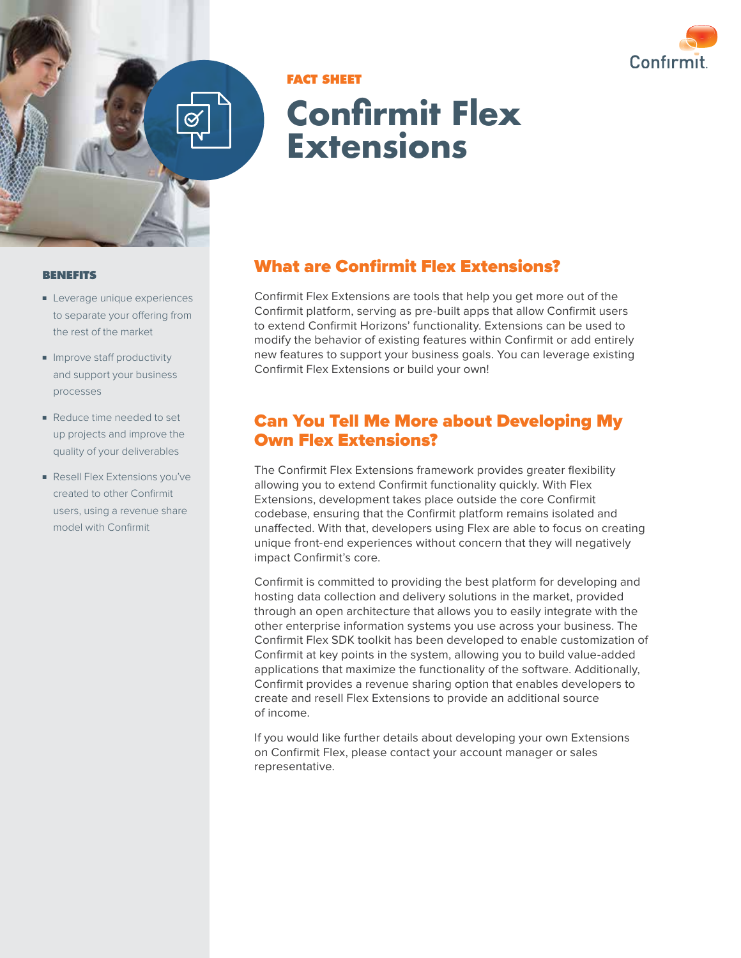



### **FACT SHEET**

# **Confirmit Flex Extensions**

#### **BENEFITS**

- Leverage unique experiences to separate your offering from the rest of the market
- Improve staff productivity and support your business processes
- Reduce time needed to set up projects and improve the quality of your deliverables
- Resell Flex Extensions you've created to other Confirmit users, using a revenue share model with Confirmit

### What are Confirmit Flex Extensions?

Confirmit Flex Extensions are tools that help you get more out of the Confirmit platform, serving as pre-built apps that allow Confirmit users to extend Confirmit Horizons' functionality. Extensions can be used to modify the behavior of existing features within Confirmit or add entirely new features to support your business goals. You can leverage existing Confirmit Flex Extensions or build your own!

### Can You Tell Me More about Developing My Own Flex Extensions?

The Confirmit Flex Extensions framework provides greater flexibility allowing you to extend Confirmit functionality quickly. With Flex Extensions, development takes place outside the core Confirmit codebase, ensuring that the Confirmit platform remains isolated and unaffected. With that, developers using Flex are able to focus on creating unique front-end experiences without concern that they will negatively impact Confirmit's core.

Confirmit is committed to providing the best platform for developing and hosting data collection and delivery solutions in the market, provided through an open architecture that allows you to easily integrate with the other enterprise information systems you use across your business. The Confirmit Flex SDK toolkit has been developed to enable customization of Confirmit at key points in the system, allowing you to build value-added applications that maximize the functionality of the software. Additionally, Confirmit provides a revenue sharing option that enables developers to create and resell Flex Extensions to provide an additional source of income.

If you would like further details about developing your own Extensions on Confirmit Flex, please contact your account manager or sales representative.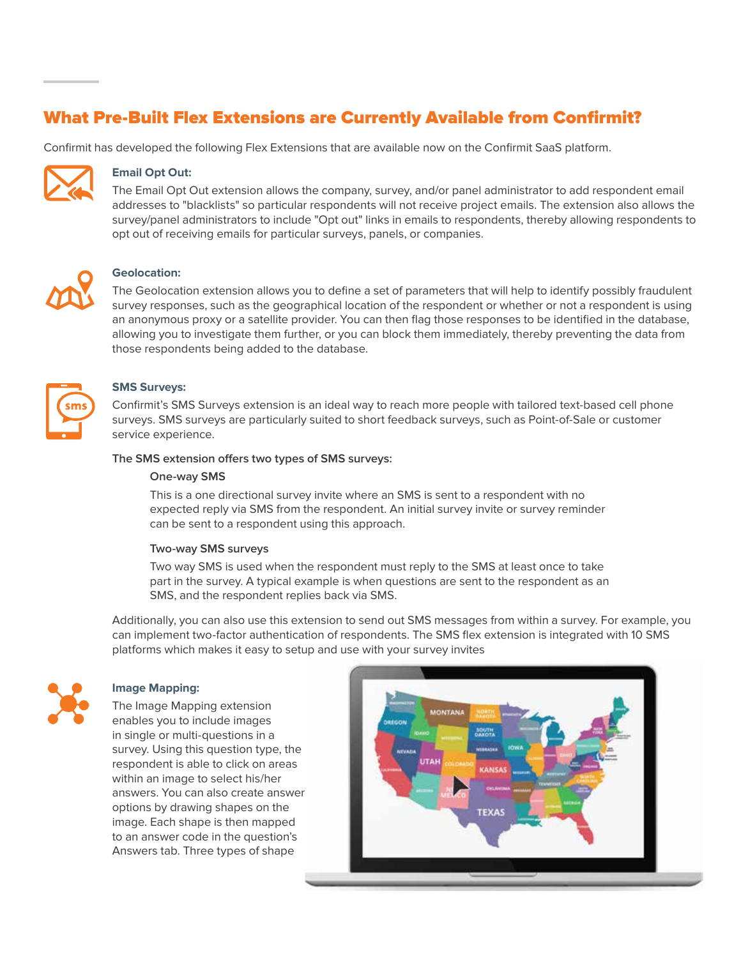### What Pre-Built Flex Extensions are Currently Available from Confirmit?

Confirmit has developed the following Flex Extensions that are available now on the Confirmit SaaS platform.



### **Email Opt Out:**

The Email Opt Out extension allows the company, survey, and/or panel administrator to add respondent email addresses to "blacklists" so particular respondents will not receive project emails. The extension also allows the survey/panel administrators to include "Opt out" links in emails to respondents, thereby allowing respondents to opt out of receiving emails for particular surveys, panels, or companies.



#### **Geolocation:**

The Geolocation extension allows you to define a set of parameters that will help to identify possibly fraudulent survey responses, such as the geographical location of the respondent or whether or not a respondent is using an anonymous proxy or a satellite provider. You can then flag those responses to be identified in the database, allowing you to investigate them further, or you can block them immediately, thereby preventing the data from those respondents being added to the database.



#### **SMS Surveys:**

Confirmit's SMS Surveys extension is an ideal way to reach more people with tailored text-based cell phone surveys. SMS surveys are particularly suited to short feedback surveys, such as Point-of-Sale or customer service experience.

#### **The SMS extension offers two types of SMS surveys:**

#### **One-way SMS**

This is a one directional survey invite where an SMS is sent to a respondent with no expected reply via SMS from the respondent. An initial survey invite or survey reminder can be sent to a respondent using this approach.

#### **Two-way SMS surveys**

Two way SMS is used when the respondent must reply to the SMS at least once to take part in the survey. A typical example is when questions are sent to the respondent as an SMS, and the respondent replies back via SMS.

Additionally, you can also use this extension to send out SMS messages from within a survey. For example, you can implement two-factor authentication of respondents. The SMS flex extension is integrated with 10 SMS platforms which makes it easy to setup and use with your survey invites



#### **Image Mapping:**

The Image Mapping extension enables you to include images in single or multi-questions in a survey. Using this question type, the respondent is able to click on areas within an image to select his/her answers. You can also create answer options by drawing shapes on the image. Each shape is then mapped to an answer code in the question's Answers tab. Three types of shape

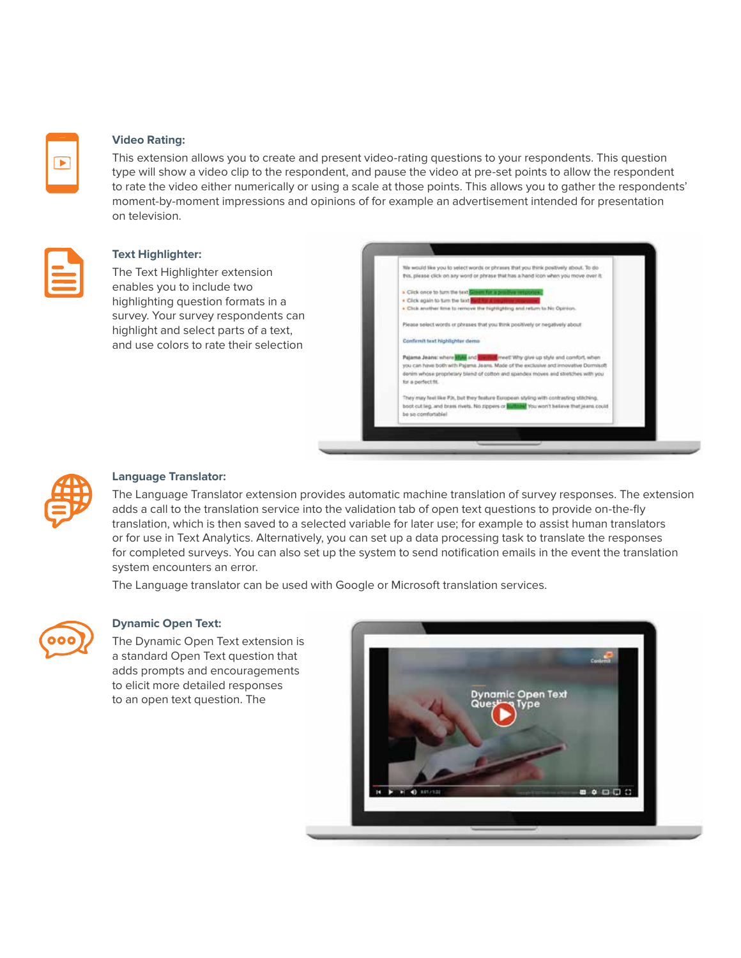

#### **Video Rating:**

This extension allows you to create and present video-rating questions to your respondents. This question type will show a video clip to the respondent, and pause the video at pre-set points to allow the respondent to rate the video either numerically or using a scale at those points. This allows you to gather the respondents' moment-by-moment impressions and opinions of for example an advertisement intended for presentation on television.



#### **Text Highlighter:**

The Text Highlighter extension enables you to include two highlighting question formats in a survey. Your survey respondents can highlight and select parts of a text, and use colors to rate their selection





#### **Language Translator:**

The Language Translator extension provides automatic machine translation of survey responses. The extension adds a call to the translation service into the validation tab of open text questions to provide on-the-fly translation, which is then saved to a selected variable for later use; for example to assist human translators or for use in Text Analytics. Alternatively, you can set up a data processing task to translate the responses for completed surveys. You can also set up the system to send notification emails in the event the translation system encounters an error.

The Language translator can be used with Google or Microsoft translation services.



#### **Dynamic Open Text:**

The Dynamic Open Text extension i[s](https://www.confirmit.com/library/video-demo-insights-dynamic-open-text-question-h4a/)  a standard Open Text question that adds prompts and encouragements to elicit more detailed responses to an open text question. The